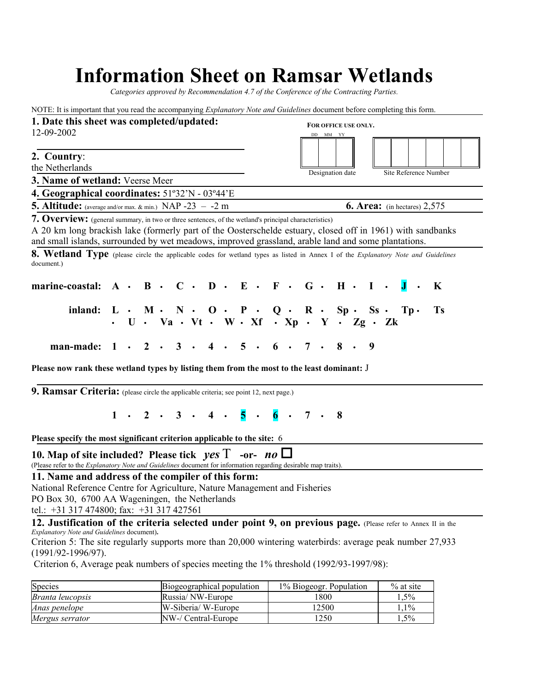## **Information Sheet on Ramsar Wetlands**

*Categories approved by Recommendation 4.7 of the Conference of the Contracting Parties.*

NOTE: It is important that you read the accompanying *Explanatory Note and Guidelines* document before completing this form. **1. Date this sheet was completed/updated:** 12-09-2002 **2. Country**: the Netherlands **3. Name of wetland:** Veerse Meer **4. Geographical coordinates:** 51º32'N - 03º44'E **5. Altitude:** (average and/or max. & min.) NAP -23 – -2 m **6. Area:** (in hectares) 2,575 **7. Overview:** (general summary, in two or three sentences, of the wetland's principal characteristics) A 20 km long brackish lake (formerly part of the Oosterschelde estuary, closed off in 1961) with sandbanks and small islands, surrounded by wet meadows, improved grassland, arable land and some plantations. **8. Wetland Type** (please circle the applicable codes for wetland types as listed in Annex I of the *Explanatory Note and Guidelines* document.) **marine-coastal: A • B • C • D • E • F • G • H • I • J • K inland: L • M • N • O • P • Q • R • Sp • Ss • Tp • Ts • U • Va • Vt • W • Xf • Xp • Y • Zg • Zk man-made: 1 • 2 • 3 • 4 • 5 • 6 • 7 • 8 • 9 Please now rank these wetland types by listing them from the most to the least dominant:** J **9. Ramsar Criteria:** (please circle the applicable criteria; see point 12, next page.) **1 • 2 • 3 • 4 • 5 • 6 • 7 • 8 Please specify the most significant criterion applicable to the site:** 6 **10. Map of site included? Please tick** *yes* Τ **-or-** *no* (Please refer to the *Explanatory Note and Guidelines* document for information regarding desirable map traits). **11. Name and address of the compiler of this form:** National Reference Centre for Agriculture, Nature Management and Fisheries PO Box 30, 6700 AA Wageningen, the Netherlands tel.: +31 317 474800; fax: +31 317 427561 **12. Justification of the criteria selected under point 9, on previous page.** (Please refer to Annex II in the *Explanatory Note and Guidelines* document)**.** Criterion 5: The site regularly supports more than 20,000 wintering waterbirds: average peak number 27,933 (1991/92-1996/97). Criterion 6, Average peak numbers of species meeting the 1% threshold (1992/93-1997/98): **FOR OFFICE USE ONLY.** DD MM YY Designation date Site Reference Number

| Species          | Biogeographical population | 1% Biogeogr. Population | $\%$ at site |
|------------------|----------------------------|-------------------------|--------------|
| Branta leucopsis | Russia/NW-Europe           | 1800                    | 1.5%         |
| Anas penelope    | W-Siberia/W-Europe         | 2500                    | $.1\%$       |
| Mergus serrator  | NW-/ Central-Europe        | 1250                    | $.5\%$       |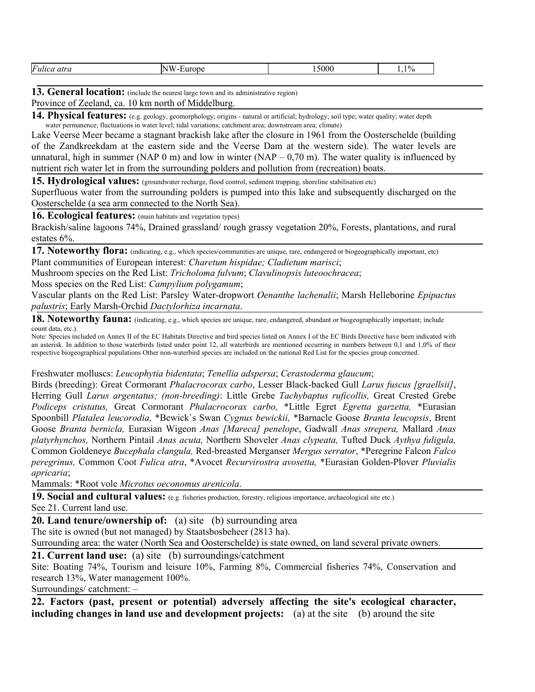13. General location: (include the nearest large town and its administrative region)

Province of Zeeland, ca. 10 km north of Middelburg.

**14. Physical features:** (e.g. geology, geomorphology; origins - natural or artificial; hydrology; soil type; water quality; water depth water permanence; fluctuations in water level; tidal variations; catchment area; downstream area; climate)

Lake Veerse Meer became a stagnant brackish lake after the closure in 1961 from the Oosterschelde (building of the Zandkreekdam at the eastern side and the Veerse Dam at the western side). The water levels are unnatural, high in summer (NAP 0 m) and low in winter (NAP – 0,70 m). The water quality is influenced by nutrient rich water let in from the surrounding polders and pollution from (recreation) boats.

**15. Hydrological values:** (groundwater recharge, flood control, sediment trapping, shoreline stabilisation etc)

Superfluous water from the surrounding polders is pumped into this lake and subsequently discharged on the Oosterschelde (a sea arm connected to the North Sea).

**16. Ecological features:** (main habitats and vegetation types)

Brackish/saline lagoons 74%, Drained grassland/ rough grassy vegetation 20%, Forests, plantations, and rural estates 6%.

17. Noteworthy flora: (indicating, e.g., which species/communities are unique, rare, endangered or biogeographically important, etc) Plant communities of European interest: *Charetum hispidae; Cladietum marisci*;

Mushroom species on the Red List: *Tricholoma fulvum*; *Clavulinopsis luteoochracea*;

Moss species on the Red List: *Campylium polygamum*;

Vascular plants on the Red List: Parsley Water-dropwort *Oenanthe lachenalii*; Marsh Helleborine *Epipactus palustris*; Early Marsh-Orchid *Dactylorhiza incarnata*.

**18. Noteworthy fauna:** *(indicating, e.g., which species are unique, rare, endangered, abundant or biogeographically important; include* count data, etc.).

Note: Species included on Annex II of the EC Habitats Directive and bird species listed on Annex I of the EC Birds Directive have been indicated with an asterisk. In addition to those waterbirds listed under point 12, all waterbirds are mentioned occurring in numbers between 0,1 and 1,0% of their respective biogeographical populations Other non-waterbird species are included on the national Red List for the species group concerned.

Freshwater molluscs: *Leucophytia bidentata*; *Tenellia adspersa*; *Cerastoderma glaucum*;

Birds (breeding): Great Cormorant *Phalacrocorax carbo*, Lesser Black-backed Gull *Larus fuscus [graellsii]*, Herring Gull *Larus argentatus; (non-breeding)*: Little Grebe *Tachybaptus ruficollis,* Great Crested Grebe *Podiceps cristatus,* Great Cormorant *Phalacrocorax carbo,* \*Little Egret *Egretta garzetta,* \*Eurasian Spoonbill *Platalea leucorodia,* \*Bewick`s Swan *Cygnus bewickii,* \*Barnacle Goose *Branta leucopsis*, Brent Goose *Branta bernicla,* Eurasian Wigeon *Anas [Mareca] penelope*, Gadwall *Anas strepera,* Mallard *Anas platyrhynchos,* Northern Pintail *Anas acuta,* Northern Shoveler *Anas clypeata,* Tufted Duck *Aythya fuligula,* Common Goldeneye *Bucephala clangula,* Red-breasted Merganser *Mergus serrator*, \*Peregrine Falcon *Falco peregrinus,* Common Coot *Fulica atra*, \*Avocet *Recurvirostra avosetta,* \*Eurasian Golden-Plover *Pluvialis apricaria*;

Mammals: \*Root vole *Microtus oeconomus arenicola*.

**19. Social and cultural values:** (e.g. fisheries production, forestry, religious importance, archaeological site etc.)

See 21. Current land use.

**20. Land tenure/ownership of:** (a) site (b) surrounding area The site is owned (but not managed) by Staatsbosbeheer (2813 ha).

Surrounding area: the water (North Sea and Oosterschelde) is state owned, on land several private owners.

**21. Current land use:** (a) site (b) surroundings/catchment

Site: Boating 74%, Tourism and leisure 10%, Farming 8%, Commercial fisheries 74%, Conservation and research 13%, Water management 100%.

Surroundings/ catchment: –

**22. Factors (past, present or potential) adversely affecting the site's ecological character, including changes in land use and development projects:** (a) at the site (b) around the site